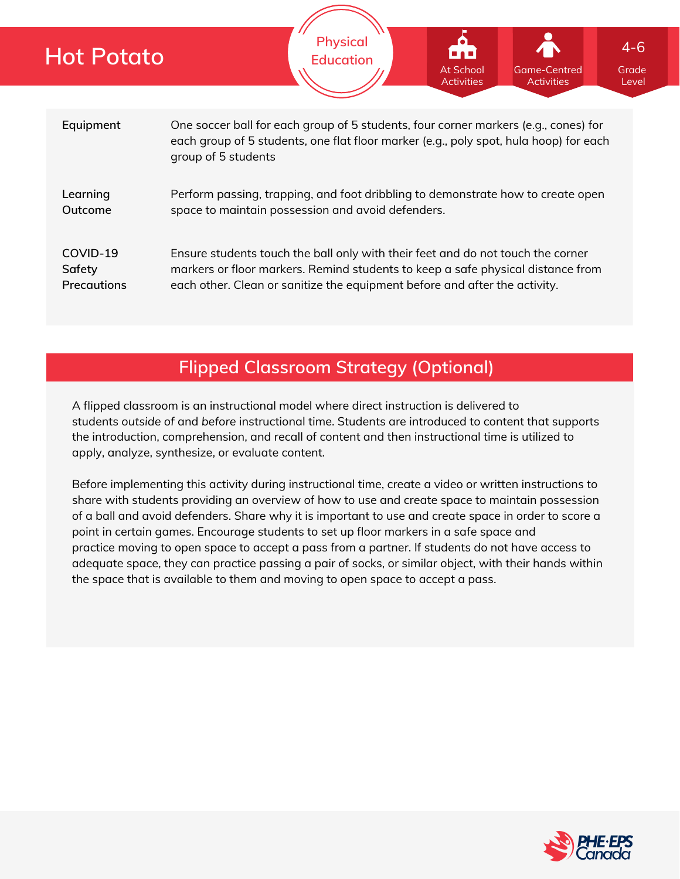| <b>Hot Potato</b>                        | <b>Physical</b><br><b>Education</b>                                                                                                                                                                                                              | At School<br><b>Activities</b> | <b>Game-Centred</b><br><b>Activities</b> | $4 - 6$<br>Grade<br>Level |  |  |  |
|------------------------------------------|--------------------------------------------------------------------------------------------------------------------------------------------------------------------------------------------------------------------------------------------------|--------------------------------|------------------------------------------|---------------------------|--|--|--|
|                                          |                                                                                                                                                                                                                                                  |                                |                                          |                           |  |  |  |
| Equipment                                | One soccer ball for each group of 5 students, four corner markers (e.g., cones) for<br>each group of 5 students, one flat floor marker (e.g., poly spot, hula hoop) for each<br>group of 5 students                                              |                                |                                          |                           |  |  |  |
| Learning<br>Outcome                      | Perform passing, trapping, and foot dribbling to demonstrate how to create open<br>space to maintain possession and avoid defenders.                                                                                                             |                                |                                          |                           |  |  |  |
| COVID-19<br>Safety<br><b>Precautions</b> | Ensure students touch the ball only with their feet and do not touch the corner<br>markers or floor markers. Remind students to keep a safe physical distance from<br>each other. Clean or sanitize the equipment before and after the activity. |                                |                                          |                           |  |  |  |

# **Flipped Classroom Strategy (Optional)**

A flipped classroom is an instructional model where direct instruction is delivered to students *outside of* and *before* instructional time. Students are introduced to content that supports the introduction, comprehension, and recall of content and then instructional time is utilized to apply, analyze, synthesize, or evaluate content.

Before implementing this activity during instructional time, create a video or written instructions to share with students providing an overview of how to use and create space to maintain possession of a ball and avoid defenders. Share why it is important to use and create space in order to score a point in certain games. Encourage students to set up floor markers in a safe space and practice moving to open space to accept a pass from a partner. If students do not have access to adequate space, they can practice passing a pair of socks, or similar object, with their hands within the space that is available to them and moving to open space to accept a pass.

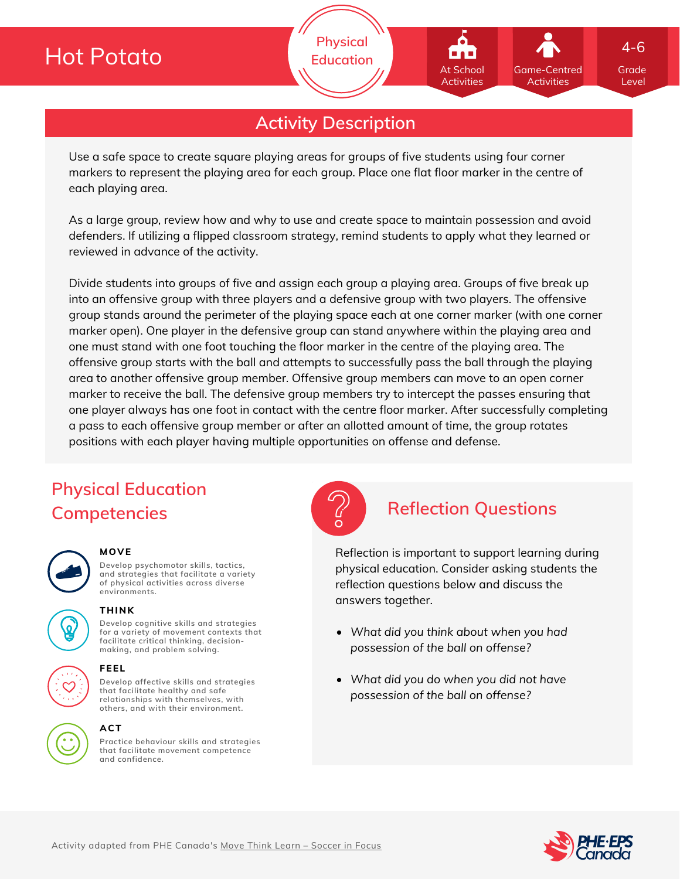# **Hot Potato**

**Physical Education**

## **Activity Description**

Use a safe space to create square playing areas for groups of five students using four corner markers to represent the playing area for each group. Place one flat floor marker in the centre of each playing area.

As a large group, review how and why to use and create space to maintain possession and avoid defenders. If utilizing a flipped classroom strategy, remind students to apply what they learned or reviewed in advance of the activity.

Divide students into groups of five and assign each group a playing area. Groups of five break up into an offensive group with three players and a defensive group with two players. The offensive group stands around the perimeter of the playing space each at one corner marker (with one corner marker open). One player in the defensive group can stand anywhere within the playing area and one must stand with one foot touching the floor marker in the centre of the playing area. The offensive group starts with the ball and attempts to successfully pass the ball through the playing area to another offensive group member. Offensive group members can move to an open corner marker to receive the ball. The defensive group members try to intercept the passes ensuring that one player always has one foot in contact with the centre floor marker. After successfully completing a pass to each offensive group member or after an allotted amount of time, the group rotates positions with each player having multiple opportunities on offense and defense.

# **Physical Education Competencies Reflection Questions**

| ı<br>$\mathcal{L}(\mathcal{L})$ |
|---------------------------------|
|                                 |

### **MOVE**

**Develop psychomotor skills, tactics, and strategies that facilitate a variety of physical activities across diverse environments.**



**Develop cognitive skills and strategies for a variety of movement contexts that facilitate critical thinking, decision making, and problem solving. THINK**



## **ACT**

**Practice behaviour skills and strategies that facilitate movement competence and confidence.**



Reflection is important to support learning during physical education. Consider asking students the reflection questions below and discuss the answers together.

- *What did you think about when you had possession of the ball on offense?*
- *What did you do when you did not have possession of the ball on offense?*



Grade Level

4-6

Game-Centred Activities

At School **Activities**